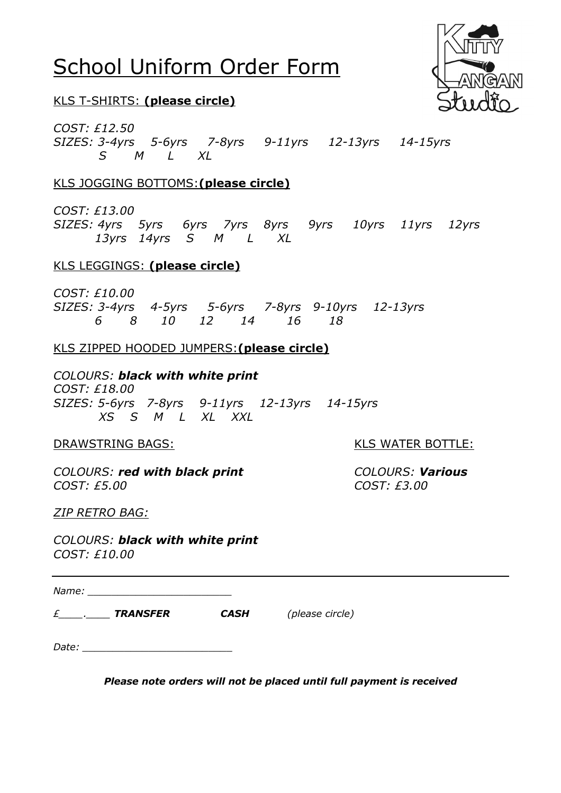# School Uniform Order Form



# KLS T-SHIRTS: **(please circle)**

*COST: £12.50 SIZES: 3-4yrs 5-6yrs 7-8yrs 9-11yrs 12-13yrs 14-15yrs S M L XL* 

# KLS JOGGING BOTTOMS:**(please circle)**

*COST: £13.00*

*SIZES: 4yrs 5yrs 6yrs 7yrs 8yrs 9yrs 10yrs 11yrs 12yrs 13yrs 14yrs S M L XL*

# KLS LEGGINGS: **(please circle)**

*COST: £10.00 SIZES: 3-4yrs 4-5yrs 5-6yrs 7-8yrs 9-10yrs 12-13yrs 6 8 10 12 14 16 18*

# KLS ZIPPED HOODED JUMPERS:**(please circle)**

*COLOURS: black with white print COST: £18.00 SIZES: 5-6yrs 7-8yrs 9-11yrs 12-13yrs 14-15yrs XS S M L XL XXL*

*COLOURS: red with black print COLOURS: Various COST: £5.00 COST: £3.00*

DRAWSTRING BAGS: KLS WATER BOTTLE:

*ZIP RETRO BAG:*

*COLOURS: black with white print COST: £10.00*

*Name: \_\_\_\_\_\_\_\_\_\_\_\_\_\_\_\_\_\_\_\_\_\_\_\_*

*£\_\_\_\_.\_\_\_\_ TRANSFER CASH (please circle)*

*Date: \_\_\_\_\_\_\_\_\_\_\_\_\_\_\_\_\_\_\_\_\_\_\_\_\_*

*Please note orders will not be placed until full payment is received*